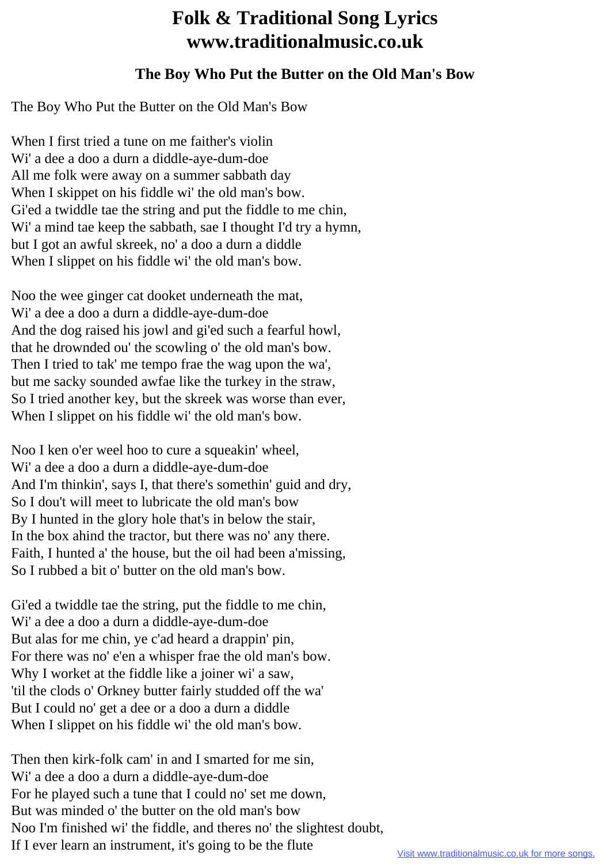## **Folk & Traditional Song Lyrics www.traditionalmusic.co.uk**

## **The Boy Who Put the Butter on the Old Man's Bow**

The Boy Who Put the Butter on the Old Man's Bow

When I first tried a tune on me faither's violin Wi' a dee a doo a durn a diddle-aye-dum-doe All me folk were away on a summer sabbath day When I skippet on his fiddle wi' the old man's bow. Gi'ed a twiddle tae the string and put the fiddle to me chin, Wi' a mind tae keep the sabbath, sae I thought I'd try a hymn, but I got an awful skreek, no' a doo a durn a diddle When I slippet on his fiddle wi' the old man's bow.

Noo the wee ginger cat dooket underneath the mat, Wi' a dee a doo a durn a diddle-aye-dum-doe And the dog raised his jowl and gi'ed such a fearful howl, that he drownded ou' the scowling o' the old man's bow. Then I tried to tak' me tempo frae the wag upon the wa', but me sacky sounded awfae like the turkey in the straw, So I tried another key, but the skreek was worse than ever, When I slippet on his fiddle wi' the old man's bow.

Noo I ken o'er weel hoo to cure a squeakin' wheel, Wi' a dee a doo a durn a diddle-aye-dum-doe And I'm thinkin', says I, that there's somethin' guid and dry, So I dou't will meet to lubricate the old man's bow By I hunted in the glory hole that's in below the stair, In the box ahind the tractor, but there was no' any there. Faith, I hunted a' the house, but the oil had been a'missing, So I rubbed a bit o' butter on the old man's bow.

Gi'ed a twiddle tae the string, put the fiddle to me chin, Wi' a dee a doo a durn a diddle-aye-dum-doe But alas for me chin, ye c'ad heard a drappin' pin, For there was no' e'en a whisper frae the old man's bow. Why I worket at the fiddle like a joiner wi' a saw, 'til the clods o' Orkney butter fairly studded off the wa' But I could no' get a dee or a doo a durn a diddle When I slippet on his fiddle wi' the old man's bow.

Then then kirk-folk cam' in and I smarted for me sin, Wi' a dee a doo a durn a diddle-aye-dum-doe For he played such a tune that I could no' set me down, But was minded o' the butter on the old man's bow Noo I'm finished wi' the fiddle, and theres no' the slightest doubt, If I ever learn an instrument, it's going to be the flute